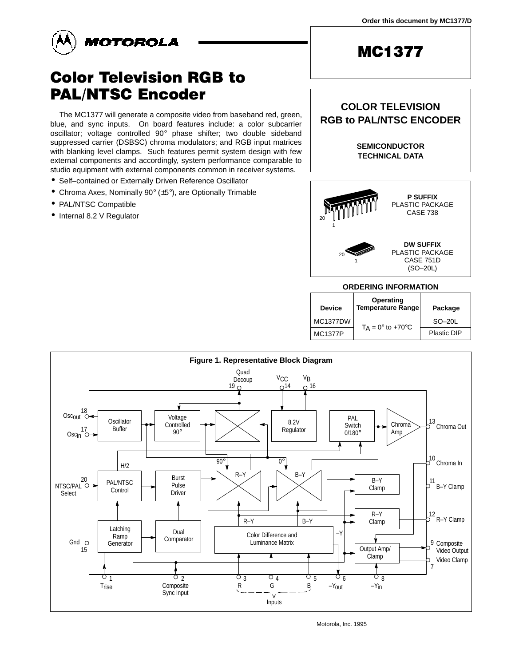



# **Color Television RGB to PAL/NTSC Encoder**

The MC1377 will generate a composite video from baseband red, green, blue, and sync inputs. On board features include: a color subcarrier oscillator; voltage controlled 90° phase shifter; two double sideband suppressed carrier (DSBSC) chroma modulators; and RGB input matrices with blanking level clamps. Such features permit system design with few external components and accordingly, system performance comparable to studio equipment with external components common in receiver systems.

- Self–contained or Externally Driven Reference Oscillator
- Chroma Axes, Nominally 90° (±5°), are Optionally Trimable
- PAL/NTSC Compatible
- Internal 8.2 V Regulator

# **MC1377**

### **COLOR TELEVISION RGB to PAL/NTSC ENCODER**

**SEMICONDUCTOR TECHNICAL DATA**



#### **ORDERING INFORMATION**

| <b>Device</b>   | Operating<br>Temperature Range    | Package     |
|-----------------|-----------------------------------|-------------|
| <b>MC1377DW</b> |                                   | $SO-20L$    |
| <b>MC1377P</b>  | $T_A = 0^\circ$ to +70 $^\circ$ C | Plastic DIP |

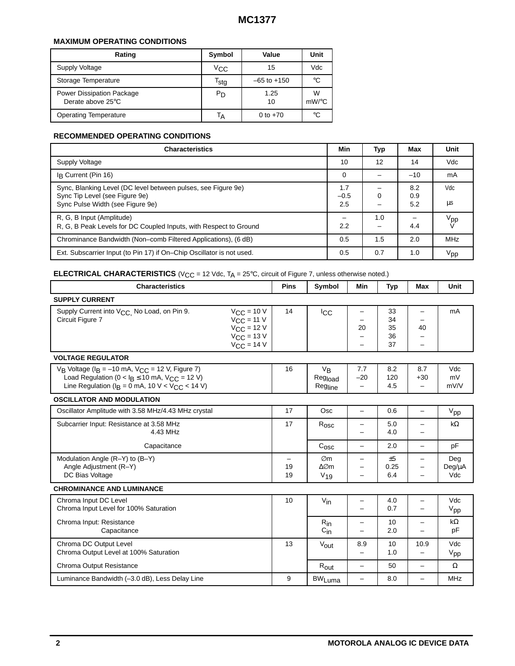#### **MAXIMUM OPERATING CONDITIONS**

| Rating                                         | Symbol                      | Value           | Unit          |
|------------------------------------------------|-----------------------------|-----------------|---------------|
| Supply Voltage                                 | $V_{\rm CC}$                | 15              | Vdc           |
| Storage Temperature                            | $\mathsf{r}_{\mathsf{stg}}$ | $-65$ to $+150$ | °€            |
| Power Dissipation Package<br>Derate above 25°C | P <sub>D</sub>              | 1.25<br>10      | W<br>$mW$ /°C |
| <b>Operating Temperature</b>                   | ١A                          | 0 to $+70$      | °C            |

#### **RECOMMENDED OPERATING CONDITIONS**

| <b>Characteristics</b>                                                                                                              | Min                  | Typ | Max               | Unit            |
|-------------------------------------------------------------------------------------------------------------------------------------|----------------------|-----|-------------------|-----------------|
| Supply Voltage                                                                                                                      | 10                   | 12  | 14                | Vdc             |
| In Current (Pin 16)                                                                                                                 | $\Omega$             |     | $-10$             | mA              |
| Sync, Blanking Level (DC level between pulses, see Figure 9e)<br>Sync Tip Level (see Figure 9e)<br>Sync Pulse Width (see Figure 9e) | 1.7<br>$-0.5$<br>2.5 | 0   | 8.2<br>0.9<br>5.2 | Vdc<br>μs       |
| R, G, B Input (Amplitude)<br>R, G, B Peak Levels for DC Coupled Inputs, with Respect to Ground                                      | 2.2                  | 1.0 | 4.4               | V <sub>pp</sub> |
| Chrominance Bandwidth (Non-comb Filtered Applications), (6 dB)                                                                      | 0.5                  | 1.5 | 2.0               | <b>MHz</b>      |
| Ext. Subscarrier Input (to Pin 17) if On–Chip Oscillator is not used.                                                               | 0.5                  | 0.7 | 1.0               | $V_{\sf pp}$    |

# **ELECTRICAL CHARACTERISTICS** ( $V_{CC}$  = 12 Vdc,  $T_A$  = 25°C, circuit of Figure 7, unless otherwise noted.)

| <b>Characteristics</b>                                                                                                                                                                                       | <b>Pins</b> | Symbol                                                      | Min                                      | <b>Typ</b>                 | Max                                      | <b>Unit</b>            |  |
|--------------------------------------------------------------------------------------------------------------------------------------------------------------------------------------------------------------|-------------|-------------------------------------------------------------|------------------------------------------|----------------------------|------------------------------------------|------------------------|--|
| <b>SUPPLY CURRENT</b>                                                                                                                                                                                        |             |                                                             |                                          |                            |                                          |                        |  |
| $V_{CC}$ = 10 V<br>Supply Current into V <sub>CC</sub> , No Load, on Pin 9.<br>Circuit Figure 7<br>$V_{CC}$ = 11 V<br>$V_{CC}$ = 12 V<br>$V_{\text{CC}}$ = 13 V<br>$V_{CC}$ = 14 V                           | 14          | <b>ICC</b>                                                  | -<br>20<br>-<br>-                        | 33<br>34<br>35<br>36<br>37 | 40                                       | mA                     |  |
| <b>VOLTAGE REGULATOR</b>                                                                                                                                                                                     |             |                                                             |                                          |                            |                                          |                        |  |
| $V_B$ Voltage ( $I_B = -10$ mA, $V_{CC} = 12$ V, Figure 7)<br>Load Regulation ( $0 <$ I <sub>B</sub> $\leq$ 10 mA, V <sub>CC</sub> = 12 V)<br>Line Regulation ( $I_B = 0$ mA, 10 V < V <sub>CC</sub> < 14 V) | 16          | $V_{B}$<br>Regload<br>Regline                               | 7.7<br>$-20$<br>$\overline{\phantom{0}}$ | 8.2<br>120<br>4.5          | 8.7<br>$+30$<br>$\overline{\phantom{0}}$ | Vdc<br>mV<br>mV/V      |  |
| <b>OSCILLATOR AND MODULATION</b>                                                                                                                                                                             |             |                                                             |                                          |                            |                                          |                        |  |
| Oscillator Amplitude with 3.58 MHz/4.43 MHz crystal                                                                                                                                                          | 17          | <b>Osc</b>                                                  | $\overline{\phantom{0}}$                 | 0.6                        | $\overline{\phantom{0}}$                 | V <sub>pp</sub>        |  |
| Subcarrier Input: Resistance at 3.58 MHz<br>4.43 MHz                                                                                                                                                         |             | $R_{\text{osc}}$                                            | -<br>$\overline{\phantom{0}}$            | 5.0<br>4.0                 |                                          | $k\Omega$              |  |
| Capacitance                                                                                                                                                                                                  |             | $C_{\rm{OSC}}$                                              | $\overline{\phantom{0}}$                 | 2.0                        |                                          | pF                     |  |
| Modulation Angle (R-Y) to (B-Y)<br>Angle Adjustment (R-Y)<br>DC Bias Voltage                                                                                                                                 |             | $\varnothing$ m<br>$\triangle \oslash m$<br>V <sub>19</sub> | -<br>-<br>$\overline{\phantom{0}}$       | ±5<br>0.25<br>6.4          | -                                        | Deg<br>Deg/µA<br>Vdc   |  |
| <b>CHROMINANCE AND LUMINANCE</b>                                                                                                                                                                             |             |                                                             |                                          |                            |                                          |                        |  |
| Chroma Input DC Level<br>Chroma Input Level for 100% Saturation                                                                                                                                              | 10          | $V_{\text{in}}$                                             | -<br>$\equiv$                            | 4.0<br>0.7                 |                                          | Vdc<br>V <sub>pp</sub> |  |
| Chroma Input: Resistance<br>Capacitance                                                                                                                                                                      |             | $R_{in}$<br>$C_{\text{in}}$                                 | -                                        | 10<br>2.0                  |                                          | $k\Omega$<br>pF        |  |
| Chroma DC Output Level<br>Chroma Output Level at 100% Saturation                                                                                                                                             | 13          | $V_{\text{out}}$                                            | 8.9<br>-                                 | 10<br>1.0                  | 10.9                                     | Vdc<br>V <sub>pp</sub> |  |
| Chroma Output Resistance                                                                                                                                                                                     |             | $R_{\text{out}}$                                            | $\overline{\phantom{0}}$                 | 50                         | $\overline{\phantom{0}}$                 | Ω                      |  |
| Luminance Bandwidth (-3.0 dB), Less Delay Line                                                                                                                                                               |             | <b>BW<sub>Luma</sub></b>                                    | -                                        | 8.0                        | -                                        | <b>MHz</b>             |  |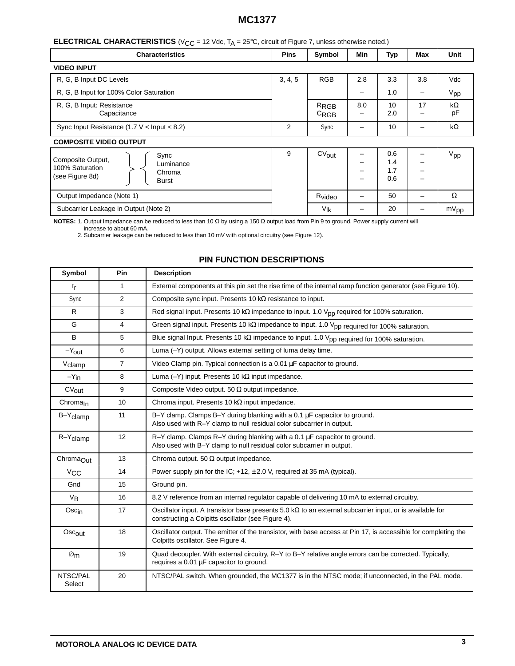#### **ELECTRICAL CHARACTERISTICS** (V<sub>CC</sub> = 12 Vdc, T<sub>A</sub> = 25°C, circuit of Figure 7, unless otherwise noted.)

| <b>Characteristics</b>                                                                                 | <b>Pins</b> | Symbol                        | <b>Min</b>  | Typ                      | Max | Unit            |
|--------------------------------------------------------------------------------------------------------|-------------|-------------------------------|-------------|--------------------------|-----|-----------------|
| <b>VIDEO INPUT</b>                                                                                     |             |                               |             |                          |     |                 |
| R, G, B Input DC Levels                                                                                | 3, 4, 5     | <b>RGB</b>                    | 2.8         | 3.3                      | 3.8 | Vdc             |
| R, G, B Input for 100% Color Saturation                                                                |             |                               | -           | 1.0                      | -   | V <sub>pp</sub> |
| R, G, B Input: Resistance<br>Capacitance                                                               |             | R <sub>RGB</sub><br>$C_{RGB}$ | 8.0<br>-    | 10<br>2.0                | 17  | kΩ<br>pF        |
| Sync Input Resistance (1.7 $\vee$ < Input < 8.2)                                                       | 2           | Sync                          | -           | 10                       |     | k $\Omega$      |
| <b>COMPOSITE VIDEO OUTPUT</b>                                                                          |             |                               |             |                          |     |                 |
| Sync<br>Composite Output,<br>Luminance<br>100% Saturation<br>Chroma<br>(see Figure 8d)<br><b>Burst</b> | 9           | $CV_{out}$                    | -<br>-<br>- | 0.6<br>1.4<br>1.7<br>0.6 |     | $V_{\text{pp}}$ |
| Output Impedance (Note 1)                                                                              |             | R <sub>video</sub>            | -           | 50                       |     | Ω               |
| Subcarrier Leakage in Output (Note 2)                                                                  |             | V <sub>Ik</sub>               | -           | 20                       | -   | $mV_{pp}$       |

**NOTES:** 1. Output Impedance can be reduced to less than 10 Ω by using a 150 Ω output load from Pin 9 to ground. Power supply current will

increase to about 60 mA. 2. Subcarrier leakage can be reduced to less than 10 mV with optional circuitry (see Figure 12).

### **PIN FUNCTION DESCRIPTIONS**

| Symbol                | <b>Pin</b>     | <b>Description</b>                                                                                                                                                    |  |  |
|-----------------------|----------------|-----------------------------------------------------------------------------------------------------------------------------------------------------------------------|--|--|
| $t_{r}$               | $\mathbf{1}$   | External components at this pin set the rise time of the internal ramp function generator (see Figure 10).                                                            |  |  |
| Sync                  | 2              | Composite sync input. Presents 10 $k\Omega$ resistance to input.                                                                                                      |  |  |
| R.                    | 3              | Red signal input. Presents 10 k $\Omega$ impedance to input. 1.0 V <sub>pp</sub> required for 100% saturation.                                                        |  |  |
| G                     | 4              | Green signal input. Presents 10 k $\Omega$ impedance to input. 1.0 Vpp required for 100% saturation.                                                                  |  |  |
| B                     | 5              | Blue signal Input. Presents 10 kΩ impedance to input. 1.0 V <sub>pp required</sub> for 100% saturation.                                                               |  |  |
| $-Y_{\text{out}}$     | 6              | Luma (-Y) output. Allows external setting of luma delay time.                                                                                                         |  |  |
| V <sub>clamp</sub>    | $\overline{7}$ | Video Clamp pin. Typical connection is a $0.01 \mu$ F capacitor to ground.                                                                                            |  |  |
| $-Y_{\text{in}}$      | 8              | Luma ( $-Y$ ) input. Presents 10 k $\Omega$ input impedance.                                                                                                          |  |  |
| $CV_{out}$            | 9              | Composite Video output. 50 $\Omega$ output impedance.                                                                                                                 |  |  |
| Chroma <sub>In</sub>  | 10             | Chroma input. Presents 10 $k\Omega$ input impedance.                                                                                                                  |  |  |
| B-Y <sub>clamp</sub>  | 11             | B-Y clamp. Clamps B-Y during blanking with a 0.1 $\mu$ F capacitor to ground.<br>Also used with R-Y clamp to null residual color subcarrier in output.                |  |  |
| $R-Y$ clamp           | 12             | $R-Y$ clamp. Clamps $R-Y$ during blanking with a 0.1 $\mu$ F capacitor to ground.<br>Also used with B-Y clamp to null residual color subcarrier in output.            |  |  |
| ChromaOut             | 13             | Chroma output. 50 $\Omega$ output impedance.                                                                                                                          |  |  |
| <b>V<sub>CC</sub></b> | 14             | Power supply pin for the IC; $+12$ , $\pm 2.0$ V, required at 35 mA (typical).                                                                                        |  |  |
| Gnd                   | 15             | Ground pin.                                                                                                                                                           |  |  |
| V <sub>B</sub>        | 16             | 8.2 V reference from an internal regulator capable of delivering 10 mA to external circuitry.                                                                         |  |  |
| Oscin                 | 17             | Oscillator input. A transistor base presents 5.0 $k\Omega$ to an external subcarrier input, or is available for<br>constructing a Colpitts oscillator (see Figure 4). |  |  |
| $Osc_{out}$           | 18             | Oscillator output. The emitter of the transistor, with base access at Pin 17, is accessible for completing the<br>Colpitts oscillator. See Figure 4.                  |  |  |
| $\varnothing$ m       | 19             | Quad decoupler. With external circuitry, R-Y to B-Y relative angle errors can be corrected. Typically,<br>requires a 0.01 µF capacitor to ground.                     |  |  |
| NTSC/PAL<br>Select    | 20             | NTSC/PAL switch. When grounded, the MC1377 is in the NTSC mode; if unconnected, in the PAL mode.                                                                      |  |  |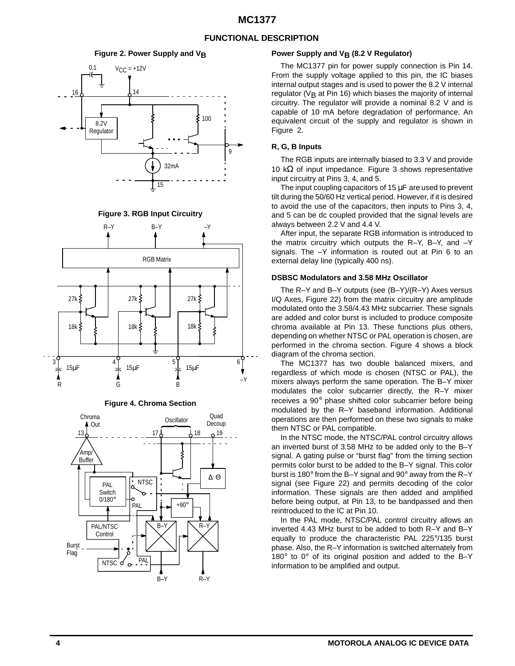#### **FUNCTIONAL DESCRIPTION**

#### **Figure 2. Power Supply and VR**







**Figure 4. Chroma Section**



#### Power Supply and V<sub>B</sub> (8.2 V Regulator)

The MC1377 pin for power supply connection is Pin 14. From the supply voltage applied to this pin, the IC biases internal output stages and is used to power the 8.2 V internal regulator ( $V<sub>B</sub>$  at Pin 16) which biases the majority of internal circuitry. The regulator will provide a nominal 8.2 V and is capable of 10 mA before degradation of performance. An equivalent circuit of the supply and regulator is shown in Figure 2.

#### **R, G, B Inputs**

The RGB inputs are internally biased to 3.3 V and provide 10 k $\Omega$  of input impedance. Figure 3 shows representative input circuitry at Pins 3, 4, and 5.

The input coupling capacitors of 15  $\mu$ F are used to prevent tilt during the 50/60 Hz vertical period. However, if it is desired to avoid the use of the capacitors, then inputs to Pins 3, 4, and 5 can be dc coupled provided that the signal levels are always between 2.2 V and 4.4 V.

After input, the separate RGB information is introduced to the matrix circuitry which outputs the R–Y, B–Y, and –Y signals. The –Y information is routed out at Pin 6 to an external delay line (typically 400 ns).

#### **DSBSC Modulators and 3.58 MHz Oscillator**

The R–Y and B–Y outputs (see (B–Y)/(R–Y) Axes versus I/Q Axes, Figure 22) from the matrix circuitry are amplitude modulated onto the 3.58/4.43 MHz subcarrier. These signals are added and color burst is included to produce composite chroma available at Pin 13. These functions plus others, depending on whether NTSC or PAL operation is chosen, are performed in the chroma section. Figure 4 shows a block diagram of the chroma section.

The MC1377 has two double balanced mixers, and regardless of which mode is chosen (NTSC or PAL), the mixers always perform the same operation. The B–Y mixer modulates the color subcarrier directly, the R–Y mixer receives a 90° phase shifted color subcarrier before being modulated by the R–Y baseband information. Additional operations are then performed on these two signals to make them NTSC or PAL compatible.

In the NTSC mode, the NTSC/PAL control circuitry allows an inverted burst of 3.58 MHz to be added only to the B–Y signal. A gating pulse or "burst flag" from the timing section permits color burst to be added to the B–Y signal. This color burst is 180° from the B–Y signal and 90° away from the R–Y signal (see Figure 22) and permits decoding of the color information. These signals are then added and amplified before being output, at Pin 13, to be bandpassed and then reintroduced to the IC at Pin 10.

In the PAL mode, NTSC/PAL control circuitry allows an inverted 4.43 MHz burst to be added to both R–Y and B–Y equally to produce the characteristic PAL 225°/135 burst phase. Also, the R–Y information is switched alternately from 180° to 0° of its original position and added to the B–Y information to be amplified and output.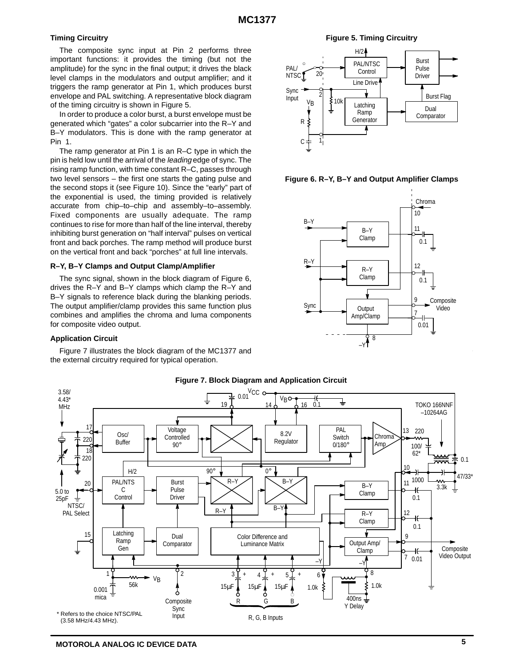#### **Timing Circuitry**

The composite sync input at Pin 2 performs three important functions: it provides the timing (but not the amplitude) for the sync in the final output; it drives the black level clamps in the modulators and output amplifier; and it triggers the ramp generator at Pin 1, which produces burst envelope and PAL switching. A representative block diagram of the timing circuitry is shown in Figure 5.

In order to produce a color burst, a burst envelope must be generated which "gates" a color subcarrier into the R–Y and B–Y modulators. This is done with the ramp generator at Pin 1.

The ramp generator at Pin 1 is an R–C type in which the pin is held low until the arrival of the leading edge of sync. The rising ramp function, with time constant R–C, passes through two level sensors – the first one starts the gating pulse and the second stops it (see Figure 10). Since the "early" part of the exponential is used, the timing provided is relatively accurate from chip–to–chip and assembly–to–assembly. Fixed components are usually adequate. The ramp continues to rise for more than half of the line interval, thereby inhibiting burst generation on "half interval" pulses on vertical front and back porches. The ramp method will produce burst on the vertical front and back "porches" at full line intervals.

#### **R–Y, B–Y Clamps and Output Clamp/Amplifier**

The sync signal, shown in the block diagram of Figure 6, drives the R–Y and B–Y clamps which clamp the R–Y and B–Y signals to reference black during the blanking periods. The output amplifier/clamp provides this same function plus combines and amplifies the chroma and luma components for composite video output.

#### **Application Circuit**

Figure 7 illustrates the block diagram of the MC1377 and the external circuitry required for typical operation.

**Figure 5. Timing Circuitry**



**Figure 6. R–Y, B–Y and Output Amplifier Clamps**





#### **Figure 7. Block Diagram and Application Circuit**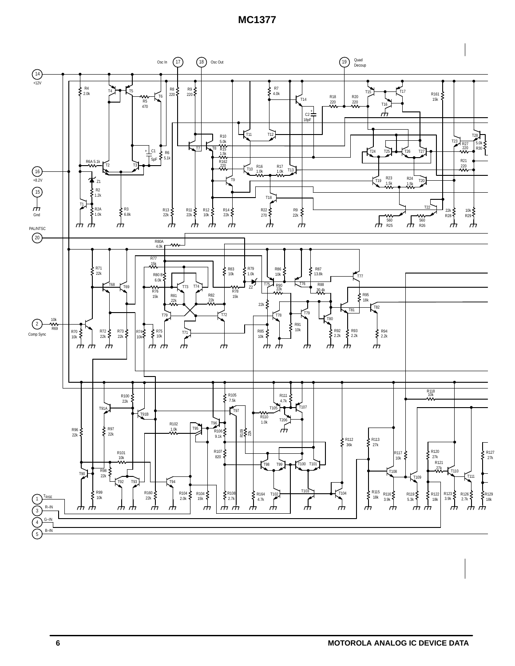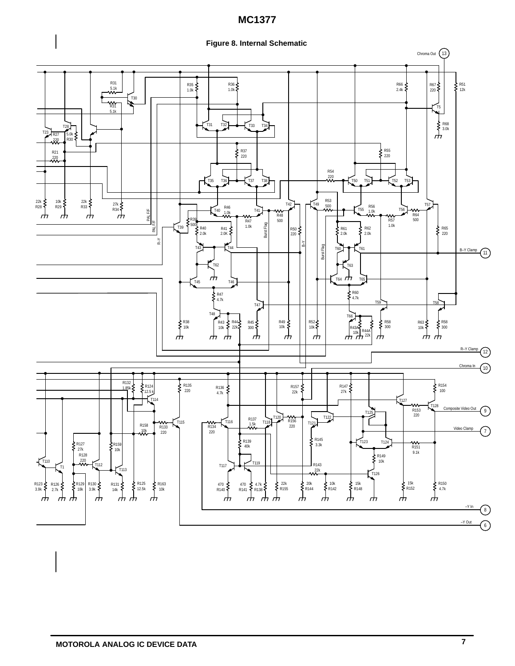

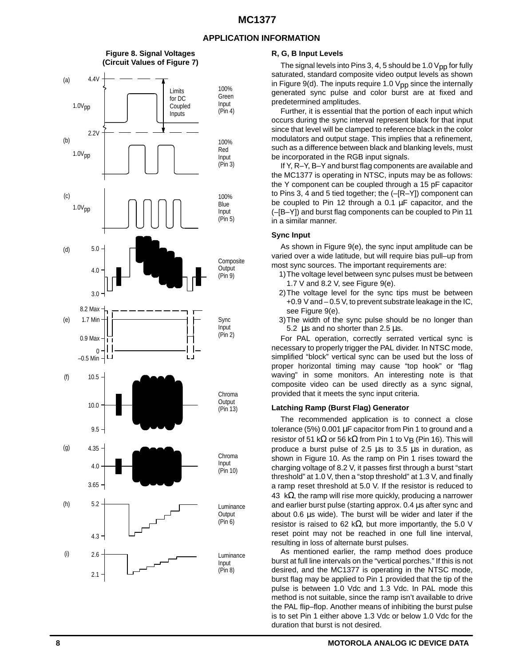#### **APPLICATION INFORMATION**



#### **R, G, B Input Levels**

The signal levels into Pins 3, 4, 5 should be 1.0  $V_{DD}$  for fully saturated, standard composite video output levels as shown in Figure 9(d). The inputs require 1.0  $V_{DD}$  since the internally generated sync pulse and color burst are at fixed and predetermined amplitudes.

Further, it is essential that the portion of each input which occurs during the sync interval represent black for that input since that level will be clamped to reference black in the color modulators and output stage. This implies that a refinement, such as a difference between black and blanking levels, must be incorporated in the RGB input signals.

If Y, R–Y, B–Y and burst flag components are available and the MC1377 is operating in NTSC, inputs may be as follows: the Y component can be coupled through a 15 pF capacitor to Pins 3, 4 and 5 tied together; the (–[R–Y]) component can be coupled to Pin 12 through a 0.1 µF capacitor, and the (–[B–Y]) and burst flag components can be coupled to Pin 11 in a similar manner.

#### **Sync Input**

As shown in Figure 9(e), the sync input amplitude can be varied over a wide latitude, but will require bias pull–up from most sync sources. The important requirements are:

- 1)The voltage level between sync pulses must be between 1.7 V and 8.2 V, see Figure 9(e).
- 2)The voltage level for the sync tips must be between +0.9 V and – 0.5 V, to prevent substrate leakage in the IC, see Figure 9(e).
- 3)The width of the sync pulse should be no longer than 5.2  $\mu$ s and no shorter than 2.5  $\mu$ s.

For PAL operation, correctly serrated vertical sync is necessary to properly trigger the PAL divider. In NTSC mode, simplified "block" vertical sync can be used but the loss of proper horizontal timing may cause "top hook" or "flag waving" in some monitors. An interesting note is that composite video can be used directly as a sync signal, provided that it meets the sync input criteria.

#### **Latching Ramp (Burst Flag) Generator**

The recommended application is to connect a close tolerance (5%) 0.001 µF capacitor from Pin 1 to ground and a resistor of 51 k $\Omega$  or 56 k $\Omega$  from Pin 1 to V<sub>B</sub> (Pin 16). This will produce a burst pulse of 2.5 µs to 3.5 µs in duration, as shown in Figure 10. As the ramp on Pin 1 rises toward the charging voltage of 8.2 V, it passes first through a burst "start threshold" at 1.0 V, then a "stop threshold" at 1.3 V, and finally a ramp reset threshold at 5.0 V. If the resistor is reduced to 43 k $\Omega$ , the ramp will rise more quickly, producing a narrower and earlier burst pulse (starting approx. 0.4 µs after sync and about 0.6 µs wide). The burst will be wider and later if the resistor is raised to 62 kΩ, but more importantly, the 5.0 V reset point may not be reached in one full line interval, resulting in loss of alternate burst pulses.

As mentioned earlier, the ramp method does produce burst at full line intervals on the "vertical porches." If this is not desired, and the MC1377 is operating in the NTSC mode, burst flag may be applied to Pin 1 provided that the tip of the pulse is between 1.0 Vdc and 1.3 Vdc. In PAL mode this method is not suitable, since the ramp isn't available to drive the PAL flip–flop. Another means of inhibiting the burst pulse is to set Pin 1 either above 1.3 Vdc or below 1.0 Vdc for the duration that burst is not desired.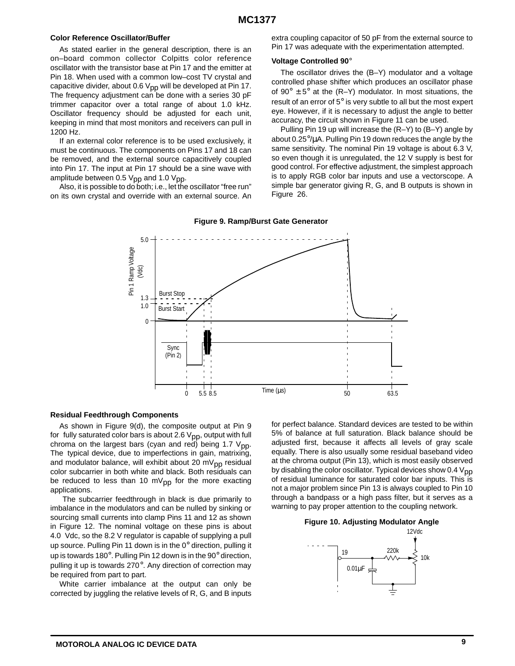#### **Color Reference Oscillator/Buffer**

As stated earlier in the general description, there is an on–board common collector Colpitts color reference oscillator with the transistor base at Pin 17 and the emitter at Pin 18. When used with a common low–cost TV crystal and capacitive divider, about 0.6  $V_{pp}$  will be developed at Pin 17. The frequency adjustment can be done with a series 30 pF trimmer capacitor over a total range of about 1.0 kHz. Oscillator frequency should be adjusted for each unit, keeping in mind that most monitors and receivers can pull in 1200 Hz.

If an external color reference is to be used exclusively, it must be continuous. The components on Pins 17 and 18 can be removed, and the external source capacitively coupled into Pin 17. The input at Pin 17 should be a sine wave with amplitude between 0.5  $V_{\text{pp}}$  and 1.0  $V_{\text{pp}}$ .

Also, it is possible to do both; i.e., let the oscillator "free run" on its own crystal and override with an external source. An extra coupling capacitor of 50 pF from the external source to Pin 17 was adequate with the experimentation attempted.

#### **Voltage Controlled 90**°

The oscillator drives the (B–Y) modulator and a voltage controlled phase shifter which produces an oscillator phase of  $90^{\circ} \pm 5^{\circ}$  at the (R–Y) modulator. In most situations, the result of an error of 5° is very subtle to all but the most expert eye. However, if it is necessary to adjust the angle to better accuracy, the circuit shown in Figure 11 can be used.

Pulling Pin 19 up will increase the (R–Y) to (B–Y) angle by about 0.25°/µA. Pulling Pin 19 down reduces the angle by the same sensitivity. The nominal Pin 19 voltage is about 6.3 V, so even though it is unregulated, the 12 V supply is best for good control. For effective adjustment, the simplest approach is to apply RGB color bar inputs and use a vectorscope. A simple bar generator giving R, G, and B outputs is shown in Figure 26.



#### **Figure 9. Ramp/Burst Gate Generator**

#### **Residual Feedthrough Components**

As shown in Figure 9(d), the composite output at Pin 9 for fully saturated color bars is about 2.6  $V_{\text{pp}}$ , output with full chroma on the largest bars (cyan and red) being 1.7  $V_{DD}$ . The typical device, due to imperfections in gain, matrixing, and modulator balance, will exhibit about 20 m $V_{\text{pp}}$  residual color subcarrier in both white and black. Both residuals can be reduced to less than 10 mV $_{\text{pp}}$  for the more exacting applications.

 The subcarrier feedthrough in black is due primarily to imbalance in the modulators and can be nulled by sinking or sourcing small currents into clamp Pins 11 and 12 as shown in Figure 12. The nominal voltage on these pins is about 4.0 Vdc, so the 8.2 V regulator is capable of supplying a pull up source. Pulling Pin 11 down is in the 0° direction, pulling it up is towards 180°. Pulling Pin 12 down is in the 90° direction, pulling it up is towards 270°. Any direction of correction may be required from part to part.

White carrier imbalance at the output can only be corrected by juggling the relative levels of R, G, and B inputs for perfect balance. Standard devices are tested to be within 5% of balance at full saturation. Black balance should be adjusted first, because it affects all levels of gray scale equally. There is also usually some residual baseband video at the chroma output (Pin 13), which is most easily observed by disabling the color oscillator. Typical devices show  $0.4 V<sub>DD</sub>$ of residual luminance for saturated color bar inputs. This is not a major problem since Pin 13 is always coupled to Pin 10 through a bandpass or a high pass filter, but it serves as a warning to pay proper attention to the coupling network.

#### **Figure 10. Adjusting Modulator Angle**

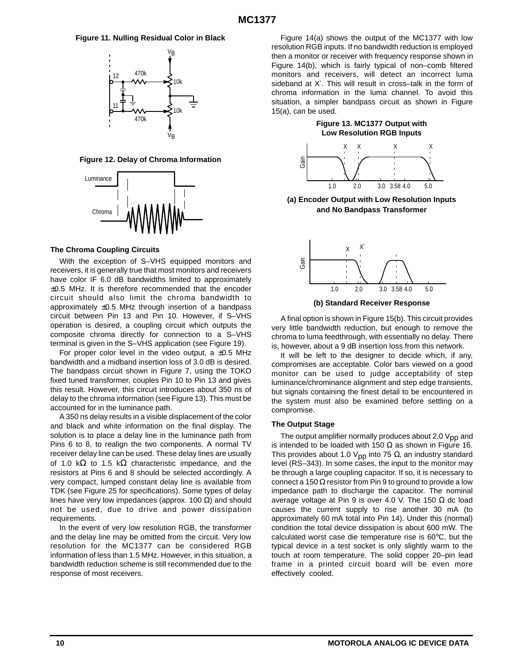#### **Figure 11. Nulling Residual Color in Black**



#### **Figure 12. Delay of Chroma Information**



#### **The Chroma Coupling Circuits**

With the exception of S–VHS equipped monitors and receivers, it is generally true that most monitors and receivers have color IF 6.0 dB bandwidths limited to approximately ±0.5 MHz. It is therefore recommended that the encoder circuit should also limit the chroma bandwidth to approximately  $\pm 0.5$  MHz through insertion of a bandpass circuit between Pin 13 and Pin 10. However, if S–VHS operation is desired, a coupling circuit which outputs the composite chroma directly for connection to a S–VHS terminal is given in the S–VHS application (see Figure 19).

For proper color level in the video output, a  $\pm 0.5$  MHz bandwidth and a midband insertion loss of 3.0 dB is desired. The bandpass circuit shown in Figure 7, using the TOKO fixed tuned transformer, couples Pin 10 to Pin 13 and gives this result. However, this circuit introduces about 350 ns of delay to the chroma information (see Figure 13). This must be accounted for in the luminance path.

A 350 ns delay results in a visible displacement of the color and black and white information on the final display. The solution is to place a delay line in the luminance path from Pins 6 to 8, to realign the two components. A normal TV receiver delay line can be used. These delay lines are usually of 1.0 k $\Omega$  to 1.5 k $\Omega$  characteristic impedance, and the resistors at Pins 6 and 8 should be selected accordingly. A very compact, lumped constant delay line is available from TDK (see Figure 25 for specifications). Some types of delay lines have very low impedances (approx. 100  $\Omega$ ) and should not be used, due to drive and power dissipation requirements.

In the event of very low resolution RGB, the transformer and the delay line may be omitted from the circuit. Very low resolution for the MC1377 can be considered RGB information of less than 1.5 MHz. However, in this situation, a bandwidth reduction scheme is still recommended due to the response of most receivers.

Figure 14(a) shows the output of the MC1377 with low resolution RGB inputs. If no bandwidth reduction is employed then a monitor or receiver with frequency response shown in Figure 14(b), which is fairly typical of non–comb filtered monitors and receivers, will detect an incorrect luma sideband at X′. This will result in cross–talk in the form of chroma information in the luma channel. To avoid this situation, a simpler bandpass circuit as shown in Figure 15(a), can be used.

**Figure 13. MC1377 Output with Low Resolution RGB Inputs**



**(a) Encoder Output with Low Resolution Inputs and No Bandpass Transformer**



**(b) Standard Receiver Response**

A final option is shown in Figure 15(b). This circuit provides very little bandwidth reduction, but enough to remove the chroma to luma feedthrough, with essentially no delay. There is, however, about a 9 dB insertion loss from this network.

It will be left to the designer to decide which, if any, compromises are acceptable. Color bars viewed on a good monitor can be used to judge acceptability of step luminance/chrominance alignment and step edge transients, but signals containing the finest detail to be encountered in the system must also be examined before settling on a compromise.

#### **The Output Stage**

The output amplifier normally produces about 2.0  $V_{DD}$  and is intended to be loaded with 150  $\Omega$  as shown in Figure 16. This provides about 1.0 V<sub>pp</sub> into 75  $\Omega$ , an industry standard level (RS–343). In some cases, the input to the monitor may be through a large coupling capacitor. If so, it is necessary to connect a 150  $\Omega$  resistor from Pin 9 to ground to provide a low impedance path to discharge the capacitor. The nominal average voltage at Pin 9 is over 4.0 V. The 150  $\Omega$  dc load causes the current supply to rise another 30 mA (to approximately 60 mA total into Pin 14). Under this (normal) condition the total device dissipation is about 600 mW. The calculated worst case die temperature rise is 60°C, but the typical device in a test socket is only slightly warm to the touch at room temperature. The solid copper 20–pin lead frame in a printed circuit board will be even more effectively cooled.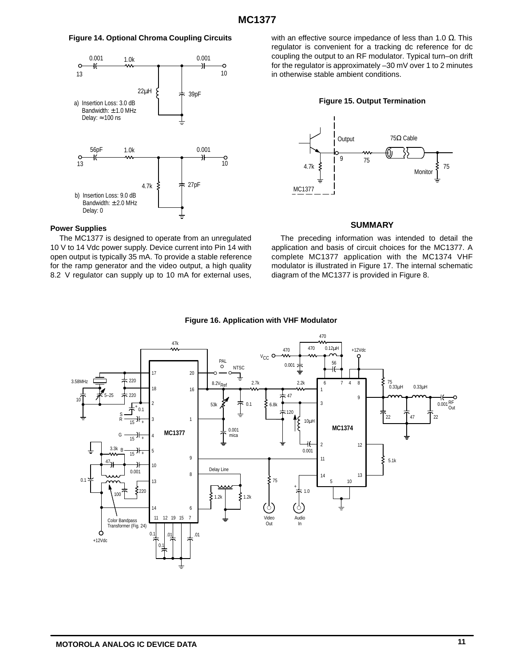#### **Figure 14. Optional Chroma Coupling Circuits**



#### **Power Supplies**

The MC1377 is designed to operate from an unregulated 10 V to 14 Vdc power supply. Device current into Pin 14 with open output is typically 35 mA. To provide a stable reference for the ramp generator and the video output, a high quality 8.2 V regulator can supply up to 10 mA for external uses, with an effective source impedance of less than 1.0  $Ω$ . This regulator is convenient for a tracking dc reference for dc coupling the output to an RF modulator. Typical turn–on drift for the regulator is approximately –30 mV over 1 to 2 minutes in otherwise stable ambient conditions.





#### **SUMMARY**

The preceding information was intended to detail the application and basis of circuit choices for the MC1377. A complete MC1377 application with the MC1374 VHF modulator is illustrated in Figure 17. The internal schematic diagram of the MC1377 is provided in Figure 8.



#### **Figure 16. Application with VHF Modulator**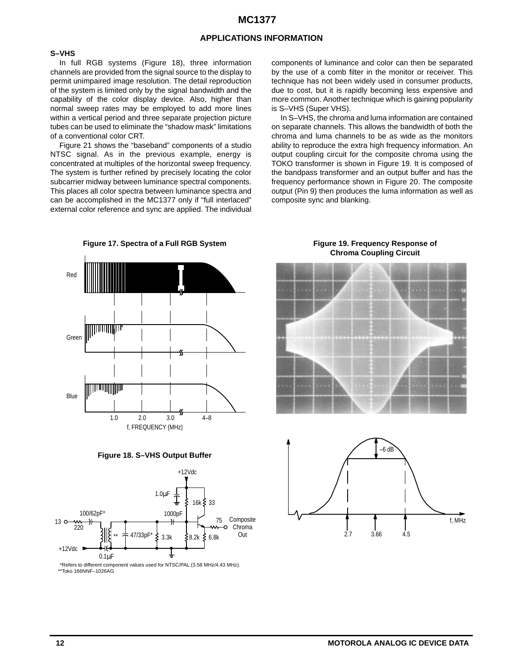#### **APPLICATIONS INFORMATION**

#### **S–VHS**

In full RGB systems (Figure 18), three information channels are provided from the signal source to the display to permit unimpaired image resolution. The detail reproduction of the system is limited only by the signal bandwidth and the capability of the color display device. Also, higher than normal sweep rates may be employed to add more lines within a vertical period and three separate projection picture tubes can be used to eliminate the "shadow mask" limitations of a conventional color CRT.

Figure 21 shows the "baseband" components of a studio NTSC signal. As in the previous example, energy is concentrated at multiples of the horizontal sweep frequency. The system is further refined by precisely locating the color subcarrier midway between luminance spectral components. This places all color spectra between luminance spectra and can be accomplished in the MC1377 only if "full interlaced" external color reference and sync are applied. The individual components of luminance and color can then be separated by the use of a comb filter in the monitor or receiver. This technique has not been widely used in consumer products, due to cost, but it is rapidly becoming less expensive and more common. Another technique which is gaining popularity is S–VHS (Super VHS).

In S–VHS, the chroma and luma information are contained on separate channels. This allows the bandwidth of both the chroma and luma channels to be as wide as the monitors ability to reproduce the extra high frequency information. An output coupling circuit for the composite chroma using the TOKO transformer is shown in Figure 19. It is composed of the bandpass transformer and an output buffer and has the frequency performance shown in Figure 20. The composite output (Pin 9) then produces the luma information as well as composite sync and blanking.



**Figure 17. Spectra of a Full RGB System**

**Figure 19. Frequency Response of Chroma Coupling Circuit**





**Figure 18. S–VHS Output Buffer**



\*Refers to different component values used for NTSC/PAL (3.58 MHz/4.43 MHz). \*\*Toko 166NNF–1026AG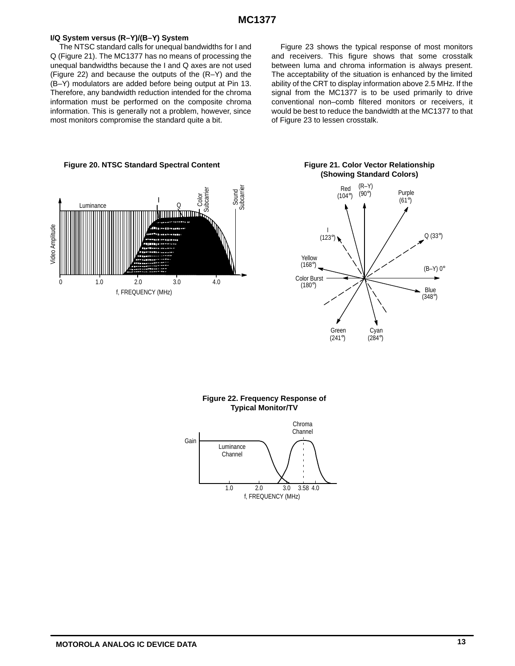#### **I/Q System versus (R–Y)/(B–Y) System**

The NTSC standard calls for unequal bandwidths for I and Q (Figure 21). The MC1377 has no means of processing the unequal bandwidths because the I and Q axes are not used (Figure 22) and because the outputs of the (R–Y) and the (B–Y) modulators are added before being output at Pin 13. Therefore, any bandwidth reduction intended for the chroma information must be performed on the composite chroma information. This is generally not a problem, however, since most monitors compromise the standard quite a bit.

Figure 23 shows the typical response of most monitors and receivers. This figure shows that some crosstalk between luma and chroma information is always present. The acceptability of the situation is enhanced by the limited ability of the CRT to display information above 2.5 MHz. If the signal from the MC1377 is to be used primarily to drive conventional non–comb filtered monitors or receivers, it would be best to reduce the bandwidth at the MC1377 to that of Figure 23 to lessen crosstalk.







# **(Showing Standard Colors)**

### **Figure 22. Frequency Response of Typical Monitor/TV**

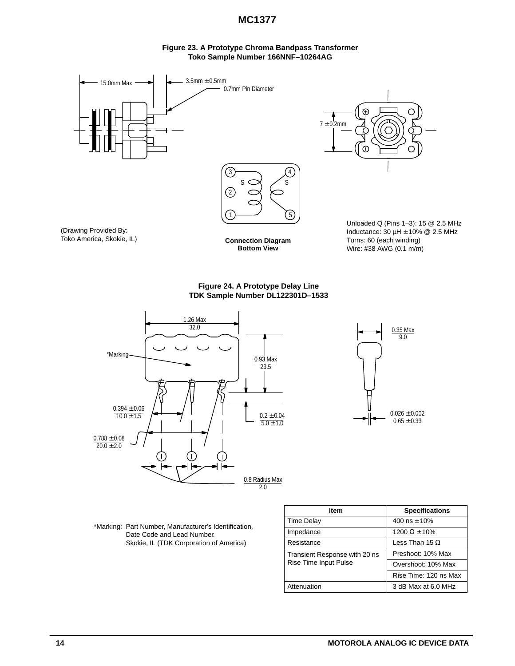#### **Figure 23. A Prototype Chroma Bandpass Transformer Toko Sample Number 166NNF–10264AG**



**Figure 24. A Prototype Delay Line TDK Sample Number DL122301D–1533**





\*Marking: Part Number, Manufacturer's Identification, Date Code and Lead Number. Skokie, IL (TDK Corporation of America)

| ltem                          | <b>Specifications</b> |  |  |
|-------------------------------|-----------------------|--|--|
| <b>Time Delay</b>             | 400 ns $\pm$ 10%      |  |  |
| Impedance                     | 1200 $\Omega$ ± 10%   |  |  |
| Resistance                    | Less Than 15 $\Omega$ |  |  |
| Transient Response with 20 ns | Preshoot: 10% Max     |  |  |
| Rise Time Input Pulse         | Overshoot: 10% Max    |  |  |
|                               | Rise Time: 120 ns Max |  |  |
| Attenuation                   | 3 dB Max at 6.0 MHz   |  |  |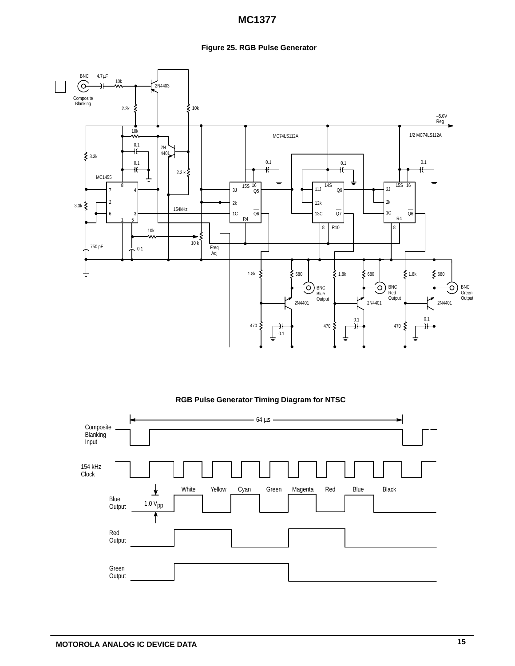### **Figure 25. RGB Pulse Generator**



#### **RGB Pulse Generator Timing Diagram for NTSC**

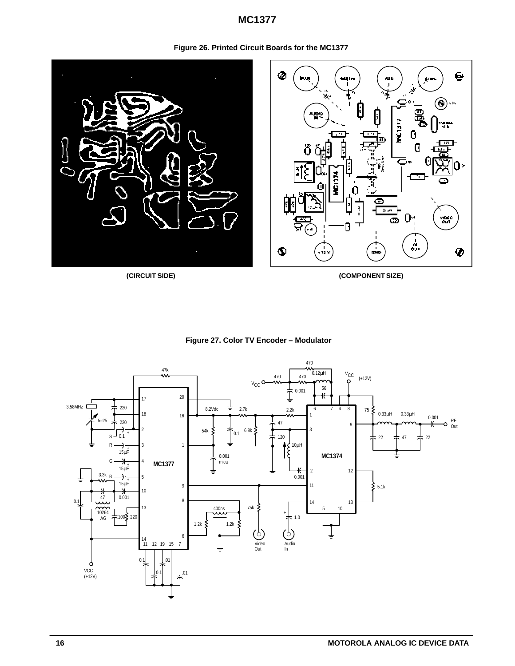

**Figure 26. Printed Circuit Boards for the MC1377**

**(CIRCUIT SIDE) (COMPONENT SIZE)**



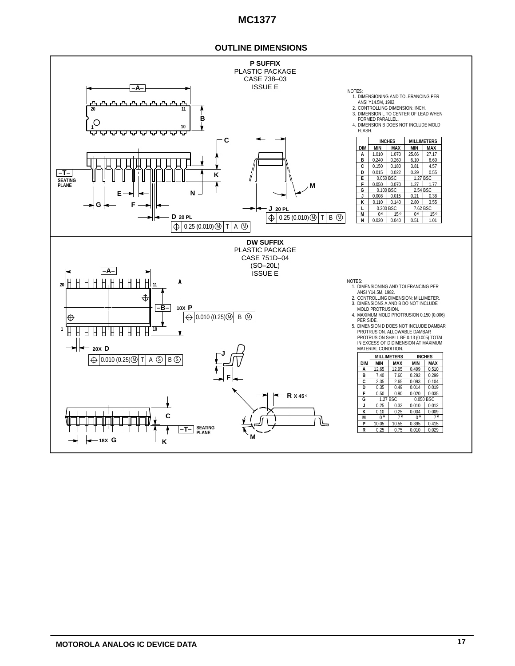#### **OUTLINE DIMENSIONS**